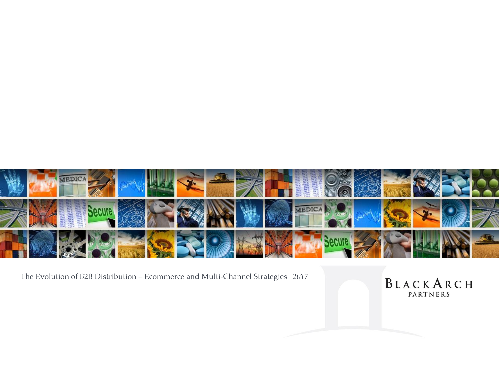

The Evolution of B2B Distribution – Ecommerce and Multi-Channel Strategies| *2017*

BLACKARCH PARTNERS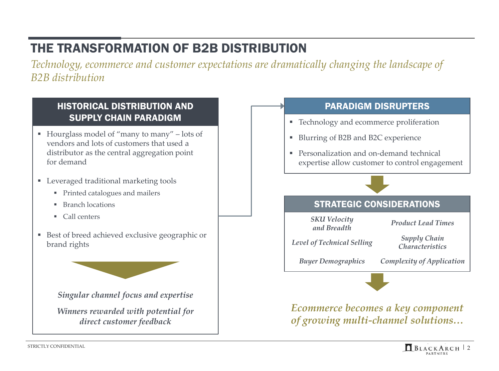# THE TRANSFORMATION OF B2B DISTRIBUTION

*Technology, ecommerce and customer expectations are dramatically changing the landscape of B2B distribution*



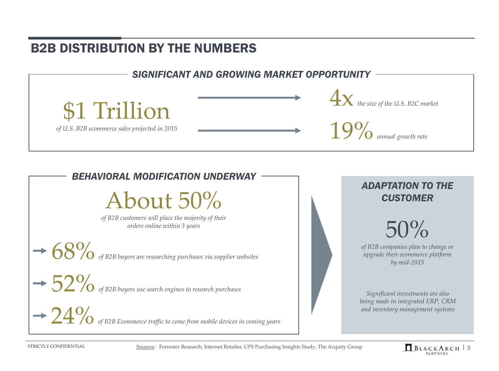### B2B DISTRIBUTION BY THE NUMBERS





About 50%

*of B2B customers will place the majority of their orders online within 3 years*

 $\begin{array}{c} \begin{array}{c} \begin{array}{c} \end{array} \\ \end{array}$  **68%** of B2B buyers are researching purchases via supplier websites

 $\rightarrow$  52% of B2B buyers use search engines to research purchases

 $\rightarrow$  24% of B2B Ecommerce traffic to come from mobile devices in coming years

### *ADAPTATION TO THE CUSTOMER*



*of B2B companies plan to change or upgrade their ecommerce platform by mid-2015*

*Significant investments are also being made in integrated ERP, CRM and inventory management systems* 

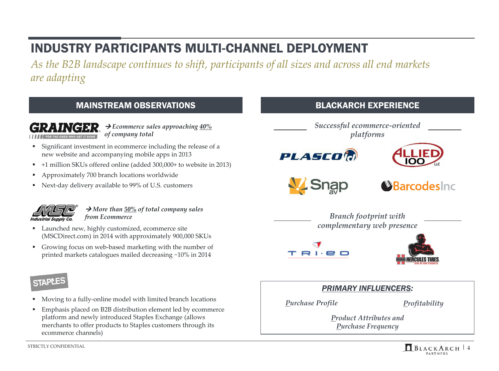# INDUSTRY PARTICIPANTS MULTI-CHANNEL DEPLOYMENT

*As the B2B landscape continues to shift, participants of all sizes and across all end markets are adapting*

#### MAINSTREAM OBSERVATIONS EXPERIENCE

**→ Ecommerce sales approaching**  $\frac{40\%}{6}$ *of company total*

- Significant investment in ecommerce including the release of a new website and accompanying mobile apps in 2013
- +1 million SKUs offered online (added 300,000+ to website in 2013)
- Approximately 700 branch locations worldwide
- Next-day delivery available to 99% of U.S. customers



→ *More than* 50% of total company sales *from Ecommerce*

- **Launched new, highly customized, ecommerce site** (MSCDirect.com) in 2014 with approximately 900,000 SKUs
- Growing focus on web-based marketing with the number of printed markets catalogues mailed decreasing ~10% in 2014

### **STAPLES**

- Moving to a fully-online model with limited branch locations
- Emphasis placed on B2B distribution element led by ecommerce platform and newly introduced Staples Exchange (allows merchants to offer products to Staples customers through its ecommerce channels)

*Successful ecommerce-oriented platforms* **PLASCO'N** 

**V\_Snap** 

Barcodesing

*Branch footprint with complementary web presence*





#### *PRIMARY INFLUENCERS:*

*Purchase Profile*

*Profitability*

*Product Attributes and Purchase Frequency*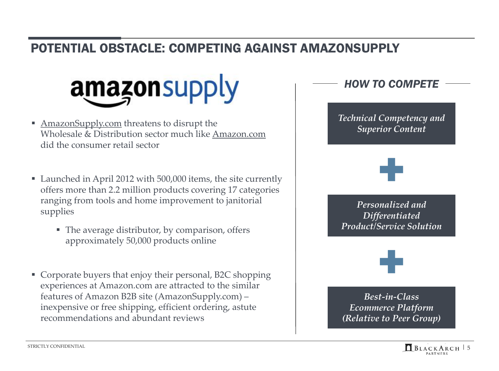### POTENTIAL OBSTACLE: COMPETING AGAINST AMAZONSUPPLY



- **AmazonSupply.com** threatens to disrupt the Wholesale & Distribution sector much like Amazon.com did the consumer retail sector
- Launched in April 2012 with 500,000 items, the site currently offers more than 2.2 million products covering 17 categories ranging from tools and home improvement to janitorial supplies
	- The average distributor, by comparison, offers approximately 50,000 products online
- Corporate buyers that enjoy their personal, B2C shopping experiences at Amazon.com are attracted to the similar features of Amazon B2B site (AmazonSupply.com) – inexpensive or free shipping, efficient ordering, astute recommendations and abundant reviews

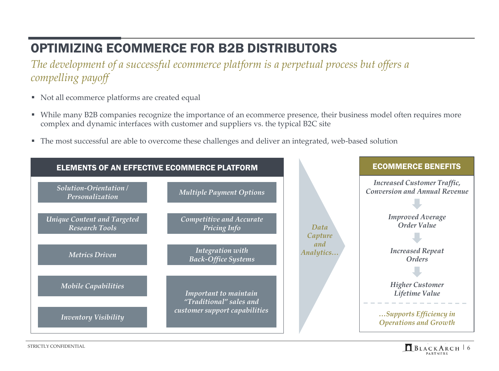# OPTIMIZING ECOMMERCE FOR B2B DISTRIBUTORS

*The development of a successful ecommerce platform is a perpetual process but offers a compelling payoff*

- Not all ecommerce platforms are created equal
- While many B2B companies recognize the importance of an ecommerce presence, their business model often requires more complex and dynamic interfaces with customer and suppliers vs. the typical B2C site
- The most successful are able to overcome these challenges and deliver an integrated, web-based solution



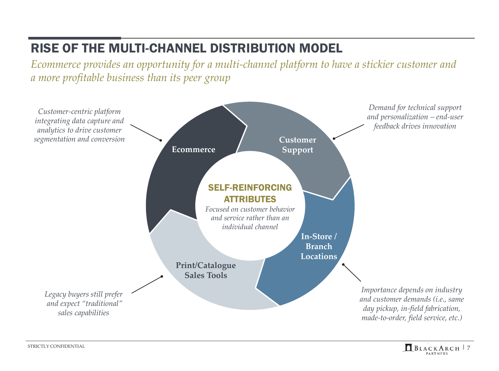### RISE OF THE MULTI-CHANNEL DISTRIBUTION MODEL

*Ecommerce provides an opportunity for a multi-channel platform to have a stickier customer and a more profitable business than its peer group*